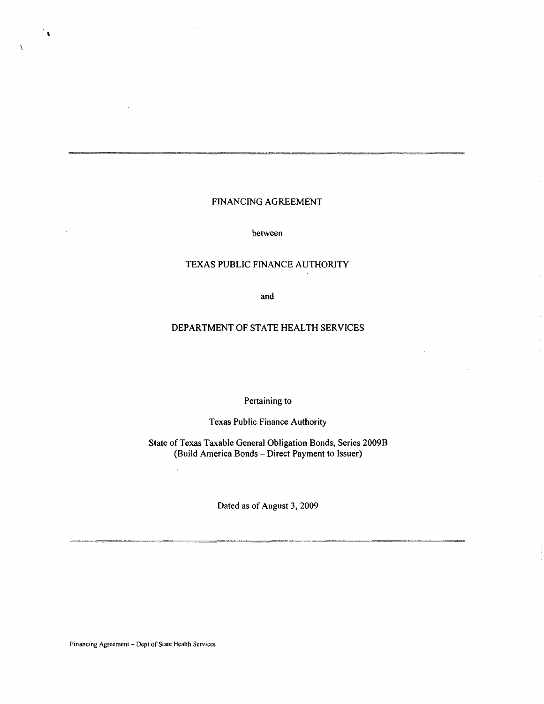# FINANCING AGREEMENT

between

## TEXAS PUBLIC FINANCE AUTHORlTY

and

## DEPARTMENT OF STATE HEALTH SERVICES

Pertaining to

Texas Public Finance Authority

State of Texas Taxable General Obligation Bonds, Series 2009B (Build America Bonds- Direct Payment to Issuer)

Dated as of August 3, 2009

Financing Agreement- Dept of State Health Services

 $\ddot{\phantom{a}}$ 

 $\ddot{\phantom{0}}$ 

 $\chi$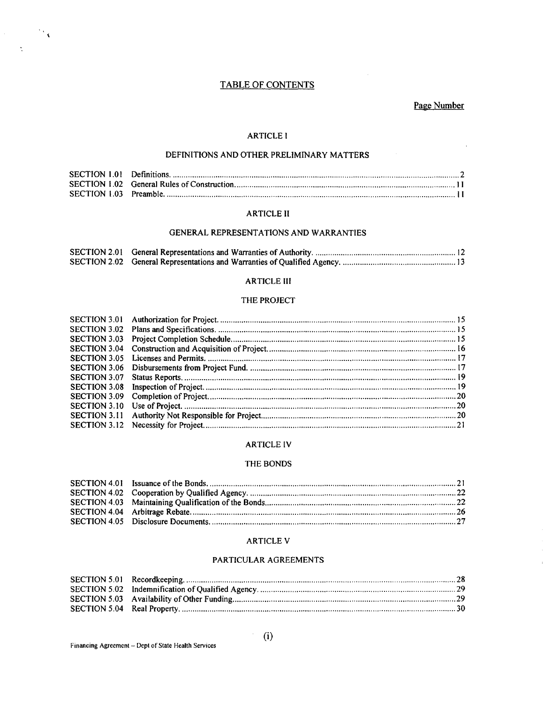## **TABLE OF CONTENTS**

Page Number

#### **ARTICLE I**

## DEFINITIONS AND OTHER PRELIMINARY MATTERS

### **ARTICLE II**

#### GENERAL REPRESENTATIONS AND WARRANTIES

#### **ARTICLE III**

## THE PROJECT

| SECTION 3.07 |  |
|--------------|--|
|              |  |
|              |  |
|              |  |
|              |  |
|              |  |
|              |  |

#### **ARTICLE IV**

#### THE BONDS

#### **ARTICLE V**

#### PARTICULAR AGREEMENTS

 $\frac{1}{2} \frac{1}{3} \frac{1}{3}$ 

 $\tilde{\gamma}$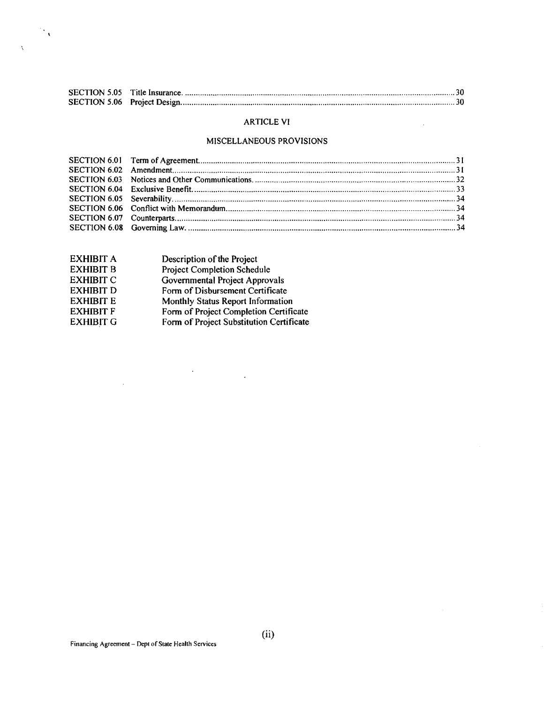# ARTICLE VI

 $\sim 10^{-10}$ 

# MISCELLANEOUS PROVISIONS

| EXHIBIT A        | Description of the Project               |
|------------------|------------------------------------------|
| <b>EXHIBIT B</b> | Project Completion Schedule              |
| <b>EXHIBIT C</b> | Governmental Project Approvals           |
| <b>EXHIBIT D</b> | Form of Disbursement Certificate         |
| <b>EXHIBIT E</b> | Monthly Status Report Information        |
| <b>EXHIBIT F</b> | Form of Project Completion Certificate   |
| <b>EXHIBIT G</b> | Form of Project Substitution Certificate |
|                  |                                          |

 $\label{eq:2.1} \frac{1}{\sqrt{2}}\int_{\mathbb{R}^3}\frac{1}{\sqrt{2}}\left(\frac{1}{\sqrt{2}}\right)^2\frac{1}{\sqrt{2}}\left(\frac{1}{\sqrt{2}}\right)^2\frac{1}{\sqrt{2}}\left(\frac{1}{\sqrt{2}}\right)^2.$ 

 $\frac{1}{2} \frac{1}{\sqrt{2}}$ 

 $\Delta$ 

 $\sim$   $\sim$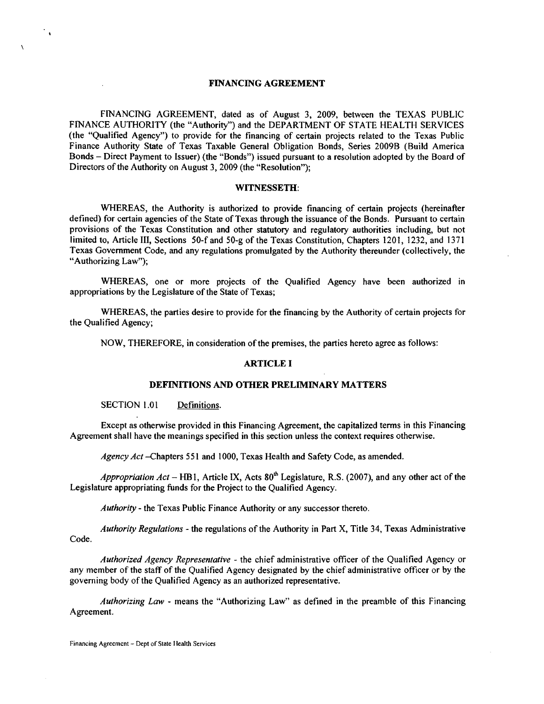#### FINANCING AGREEMENT

FINANCING AGREEMENT, dated as of August 3, 2009, between the TEXAS PUBLIC FINANCE AUTHORITY (the "Authority") and the DEPARTMENT OF STATE HEALTH SERVICES (the "Qualified Agency") to provide for the financing of certain projects related to the Texas Public Finance Authority State of Texas Taxable General Obligation Bonds, Series 2009B (Build America Bonds- Direct Payment to Issuer) (the "Bonds") issued pursuant to a resolution adopted by the Board of Directors of the Authority on August 3, 2009 (the "Resolution");

#### WITNESSETH:

WHEREAS, the Authority is authorized to provide financing of certain projects (hereinafter defined) for certain agencies of the State of Texas through the issuance of the Bonds. Pursuant to certain provisions of the Texas Constitution and other statutory and regulatory authorities including, but not limited to, Article III, Sections 50-f and 50-g of the Texas Constitution, Chapters 1201, 1232, and 1371 Texas Government Code, and any regulations promulgated by the Authority thereunder (collectively, the "Authorizing Law");

WHEREAS, one or more projects of the Qualified Agency have been authorized in appropriations by the Legislature of the State of Texas;

WHEREAS, the parties desire to provide for the financing by the Authority of certain projects for the Qualified Agency;

NOW, THEREFORE, in consideration of the premises, the parties hereto agree as follows:

#### ARTICLE I

#### DEFINITIONS AND OTHER PRELIMINARY MATTERS

SECTION 1.01 Definitions.

 $\mathcal{C}_{\mathbf{A}}$ 

 $\lambda$ 

Except as otherwise provided in this Financing Agreement, the capitalized terms in this Financing Agreement shall have the meanings specified in this section unless the context requires otherwise.

*Agency Act* -Chapters 551 and I 000, Texas Health and Safety Code, as amended.

*Appropriation Act* – HB1, Article IX, Acts  $80<sup>th</sup>$  Legislature, R.S. (2007), and any other act of the Legislature appropriating funds for the Project to the Qualified Agency.

*Authority-* the Texas Public Finance Authority or any successor thereto.

*Authority Regulations-* the regulations of the Authority in Part X, Title 34, Texas Administrative Code.

*Authorized Agency Representative* - the chief administrative officer of the Qualified Agency or any member of the staff of the Qualified Agency designated by the chief administrative officer or by the governing body of the Qualified Agency as an authorized representative.

*Authorizing Law* - means the "Authorizing Law" as defined in the preamble of this Financing Agreement.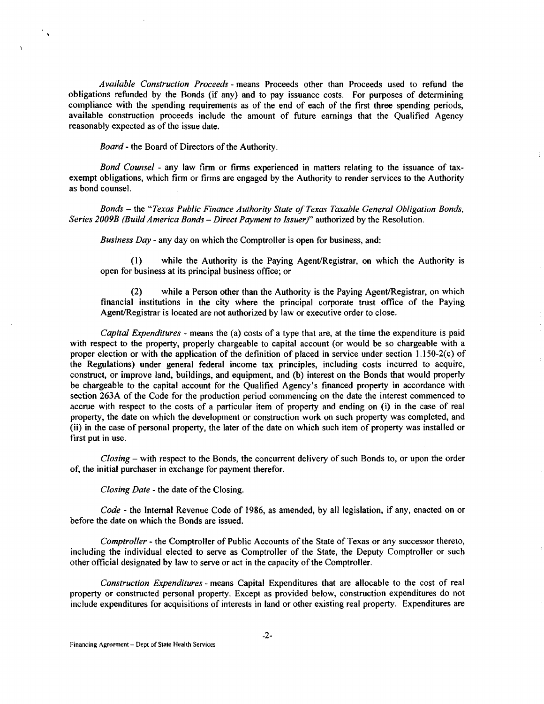*Available Construction Proceeds-* means Proceeds other than Proceeds used to refund the obligations refunded by the Bonds (if any) and to pay issuance costs. For purposes of determining compliance with the spending requirements as of the end of each of the first three spending periods, available construction proceeds include the amount of future earnings that the Qualified Agency reasonably expected as of the issue date.

*Board-* the Board of Directors of the Authority.

 $\ddot{\phantom{1}}$ 

 $\mathbf{r}$ 

*Bond Counsel* - any law firm or firms experienced in matters relating to the issuance of taxexempt obligations, which firm or firms are engaged by the Authority to render services to the Authority as bond counsel.

*Bonds* - the *"Texas Public Finance Authority State of Texas Taxable General Obligation Bonds. Series 2009B (Build America Bonds- Direct Payment to Issuer)"* authorized by the Resolution.

*Business Day* - any day on which the Comptroller is open for business, and:

(1) while the Authority is the Paying Agent/Registrar, on which the Authority is open for business at its principal business office; or

(2) while a Person other than the Authority is the Paying Agent/Registrar, on which financial institutions in the city where the principal corporate trust office of the Paying Agent/Registrar is located are not authorized by law or executive order to close.

*Capital Expenditures* - means the (a) costs of a type that are, at the time the expenditure is paid with respect to the property, properly chargeable to capital account (or would be so chargeable with a proper election or with the application of the definition of placed in service under section 1.150-2(c) of the Regulations) under general federal income tax principles, including costs incurred to acquire, construct, or improve land, buildings, and equipment, and (b) interest on the Bonds that would properly be chargeable to the capital account for the Qualified Agency's financed property in accordance with section 263A of the Code for the production period commencing on the date the interest commenced to accrue with respect to the costs of a particular item of property and ending on (i) in the case of real property, the date on which the development or construction work on such property was completed, and (ii) in the case of personal property, the later of the date on which such item of property was installed or first put in use.

*Closing-* with respect to the Bonds, the concurrent delivery of such Bonds to, or upon the order of, the initial purchaser in exchange for payment therefor.

*Closing Date-* the date of the Closing.

*Code* - the Internal Revenue Code of 1986, as amended, by all legislation, if any, enacted on or before the date on which the Bonds are issued.

*Comptroller-* the Comptroller of Public Accounts of the State of Texas or any successor thereto, including the individual elected to serve as Comptroller of the State, the Deputy Comptroller or such other official designated by law to serve or act in the capacity of the Comptroller.

*Construction Expenditures* - means Capital Expenditures that are allocable to the cost of real property or constructed personal property. Except as provided below, construction expenditures do not include expenditures for acquisitions of interests in land or other existing real property. Expenditures are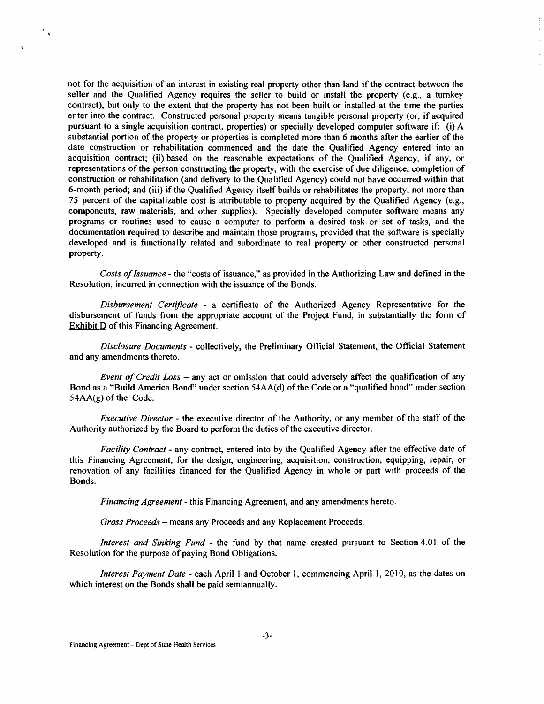not for the acquisition of an interest in existing real property other than land if the contract between the seller and the Qualified Agency requires the seller to build or install the property (e.g., a turnkey contract), but only to the extent that the property has not been built or installed at the time the parties enter into the contract. Constructed personal property means tangible personal property (or, if acquired pursuant to a single acquisition contract, properties) or specially developed computer software if: (i) A substantial portion of the property or properties is completed more than 6 months after the earlier of the date construction or rehabilitation commenced and the date the Qualified Agency entered into an acquisition contract; (ii) based on the reasonable expectations of the Qualified Agency, if any, or representations of the person constructing the property, with the exercise of due diligence, completion of construction or rehabilitation (and delivery to the Qualified Agency) could not have occurred within that 6-month period; and (iii) if the Qualified Agency itself builds or rehabilitates the property, not more than 75 percent of the capitalizable cost is attributable to property acquired by the Qualified Agency (e.g., components, raw materials, and other supplies). Specially developed computer software means any programs or routines used to cause a computer to perform a desired task or set of tasks, and the documentation required to describe and maintain those programs, provided that the software is specially developed and is functionally related and subordinate to real property or other constructed personal property.

*Costs of Issuance* - the "costs of issuance," as provided in the Authorizing Law and defined in the Resolution, incurred in connection with the issuance of the Bonds.

*Disbursement Certificate* - a certificate of the Authorized Agency Representative for the disbursement of funds from the appropriate account of the Project Fund, in substantially the form of Exhibit D of this Financing Agreement.

*Disclosure Documents* - collectively, the Preliminary Official Statement, the Official Statement and any amendments thereto.

*Event of Credit Loss* - any act or omission that could adversely affect the qualification of any Bond as a "Build America Bond" under section 54AA(d) of the Code or a "qualified bond" under section 54AA(g) of the Code.

*Executive Director* - the executive director of the Authority, or any member of the staff of the Authority authorized by the Board to perform the duties of the executive director.

*Facility Contract* - any contract, entered into by the Qualified Agency after the effective date of this Financing Agreement, for the design, engineering, acquisition, construction, equipping, repair, or renovation of any facilities financed for the Qualified Agency in whole or part with proceeds of the Bonds.

*Financing Agreement-* this Financing Agreement, and any amendments hereto.

*Gross Proceeds* - means any Proceeds and any Replacement Proceeds.

*Interest and Sinking Fund* - the fund by that name created pursuant to Section 4.01 of the Resolution for the purpose of paying Bond Obligations.

*Interest Payment Date - each April 1 and October 1, commencing April 1, 2010, as the dates on* which interest on the Bonds shall be paid semiannually.

 $\mathcal{C}_{\mathcal{A}}$ 

 $\mathbf{r}$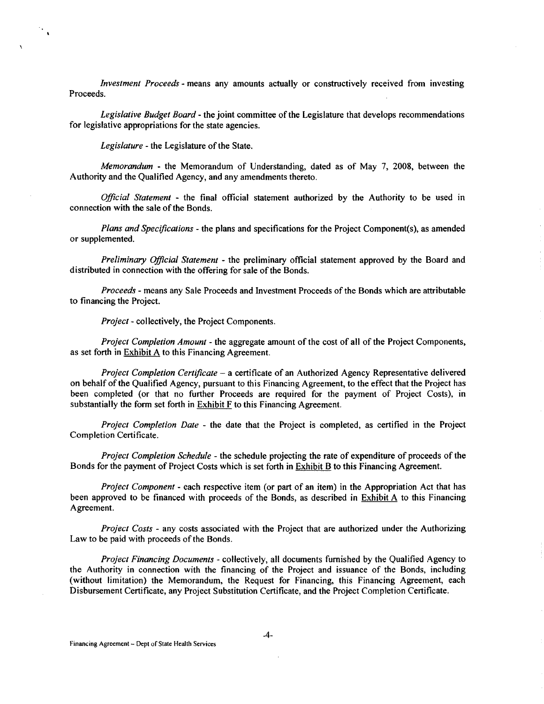*Investment Proceeds* - means any amounts actually or constructively received from investing Proceeds.

*Legislative Budget Board-* the joint committee of the Legislature that develops recommendations for legislative appropriations for the state agencies.

Legislature - the Legislature of the State.

 $\mathcal{F}_{\mathbf{A}}$ 

*Memorandum* - the Memorandum of Understanding, dated as of May 7, 2008, between the Authority and the Qualified Agency, and any amendments thereto.

*Official Statement* - the final official statement authorized by the Authority to be used in connection with the sale of the Bonds.

*Plans and Specifications-* the plans and specifications for the Project Component(s), as amended or supplemented.

*Preliminary Official Statement* - the preliminary official statement approved by the Board and distributed in connection with the offering for sale of the Bonds.

*Proceeds* - means any Sale Proceeds and Investment Proceeds of the Bonds which are attributable to financing the Project.

*Project-* collectively, the Project Components.

*Project Completion Amount* - the aggregate amount of the cost of all of the Project Components, as set forth in  $Exhibit A$  to this Financing Agreement.

*Project Completion Certificate-* a certificate of an Authorized Agency Representative delivered on behalf of the Qualified Agency, pursuant to this Financing Agreement, to the effect that the Project has been completed (or that no further Proceeds are required for the payment of Project Costs), in substantially the form set forth in Exhibit  $F$  to this Financing Agreement.

*Project Completion Date* - the date that the Project is completed, as certified in the Project Completion Certificate.

*Project Completion Schedule* - the schedule projecting the rate of expenditure of proceeds of the Bonds for the payment of Project Costs which is set forth in Exhibit B to this Financing Agreement.

*Project Component-* each respective item (or part of an item) in the Appropriation Act that has been approved to be financed with proceeds of the Bonds, as described in Exhibit A to this Financing Agreement.

*Project Costs* - any costs associated with the Project that are authorized under the Authorizing Law to be paid with proceeds of the Bonds.

*Project Financing Documents-* collectively, all documents furnished by the Qualified Agency to the Authority in connection with the financing of the Project and issuance of the Bonds, including (without limitation) the Memorandum, the Request for Financing, this Financing Agreement, each Disbursement Certificate, any Project Substitution Certificate, and the Project Completion Certificate.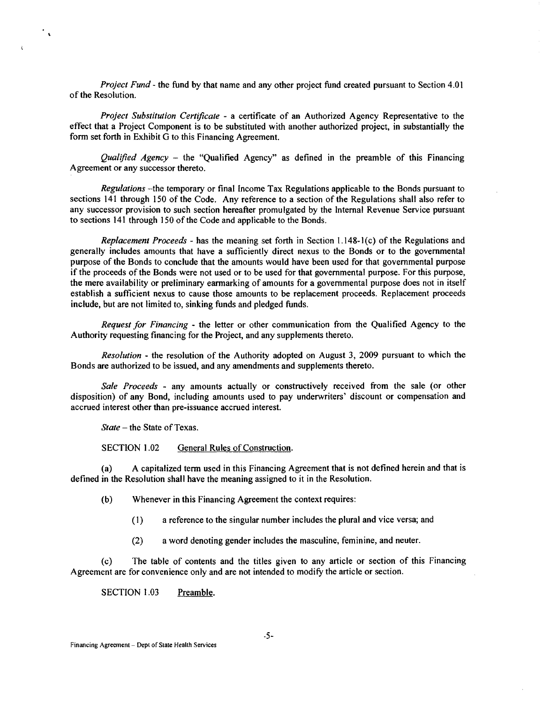*Project Fund-* the fund by that name and any other project fund created pursuant to Section 4.01 of the Resolution.

*Project Substitution Certificate* - a certificate of an Authorized Agency Representative to the effect that a Project Component is to be substituted with another authorized project, in substantially the form set forth in Exhibit G to this Financing Agreement.

*Qualified Agency* - the "Qualified Agency" as defined in the preamble of this Financing Agreement or any successor thereto.

*Regulations* -the temporary or final Income Tax Regulations applicable to the Bonds pursuant to sections 141 through 150 of the Code. Any reference to a section of the Regulations shall also refer to any successor provision to such section hereafter promulgated by the Internal Revenue Service pursuant to sections 141 through ISO of the Code and applicable to the Bonds.

*Replacement Proceeds* - has the meaning set forth in Section 1.148-1 (c) of the Regulations and generally includes amounts that have a sufficiently direct nexus to the Bonds or to the governmental purpose of the Bonds to conclude that the amounts would have been used for that governmental purpose if the proceeds of the Bonds were not used or to be used for that governmental purpose. For this purpose, the mere availability or preliminary earmarking of amounts for a governmental purpose does not in itself establish a sufficient nexus to cause those amounts to be replacement proceeds. Replacement proceeds include, but are not limited to, sinking funds and pledged funds.

*Request for Financing* - the letter or other communication from the Qualified Agency to the Authority requesting financing for the Project, and any supplements thereto.

*Resolution* - the resolution of the Authority adopted on August 3, 2009 pursuant to which the Bonds are authorized to be issued, and any amendments and supplements thereto.

*Sale Proceeds* - any amounts actually or constructively received from the sale (or other disposition) of any Bond, including amounts used to pay underwriters' discount or compensation and accrued interest other than pre-issuance accrued interest.

*State-* the State of Texas.

 $\gamma_{\rm A}$ 

 $\ddot{\mathbf{t}}$ 

SECTION 1.02 General Rules of Construction.

(a) A capitalized term used in this Financing Agreement that is not defined herein and that is defined in the Resolution shall have the meaning assigned to it in the Resolution.

(b) Whenever in this Financing Agreement the context requires:

- (I) a reference to the singular number includes the plural and vice versa; and
- (2) a word denoting gender includes the masculine, feminine, and neuter.

(c) The table of contents and the titles given to any article or section of this Financing Agreement are for convenience only and are not intended to modify the article or section.

SECTION 1.03 Preamble.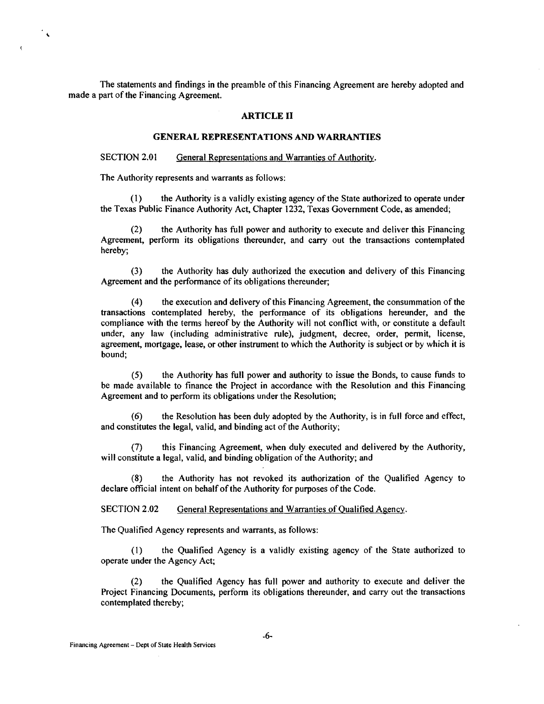The statements and findings in the preamble of this Financing Agreement are hereby adopted and made a part of the Financing Agreement.

#### ARTICLE II

## GENERAL REPRESENTATIONS AND WARRANTIES

SECTION 2.01 General Representations and Warranties of Authority.

The Authority represents and warrants as follows:

 $\mathcal{C}_{\infty}$ 

 $\mathbf{r}$ 

(1) the Authority is a validly existing agency of the State authorized to operate under the Texas Public Finance Authority Act, Chapter 1232, Texas Government Code, as amended;

(2) the Authority has full power and authority to execute and deliver this Financing Agreement, perform its obligations thereunder, and carry out the transactions contemplated hereby;

(3) the Authority has duly authorized the execution and delivery of this Financing Agreement and the performance of its obligations thereunder;

(4) the execution and delivery ofthis Financing Agreement, the consummation of the transactions contemplated hereby, the performance of its obligations hereunder, and the compliance with the terms hereof by the Authority will not conflict with, or constitute a default under, any law (including administrative rule), judgment, decree, order, permit, license, agreement, mortgage, lease, or other instrument to which the Authority is subject or by which it is bound;

(5) the Authority has full power and authority to issue the Bonds, to cause funds to be made available to finance the Project in accordance with the Resolution and this Financing Agreement and to perform its obligations under the Resolution;

(6) the Resolution has been duly adopted by the Authority, is in full force and effect, and constitutes the legal, valid, and binding act of the Authority;

(7) this Financing Agreement, when duly executed and delivered by the Authority, will constitute a legal, valid, and binding obligation of the Authority; and

(8) the Authority has not revoked its authorization of the Qualified Agency to declare official intent on behalf of the Authority for purposes of the Code.

SECTION 2.02 General Representations and Warranties of Qualified Agency.

The Qualified Agency represents and warrants, as follows:

(I) the Qualified Agency is a validly existing agency of the State authorized to operate under the Agency Act;

(2) the Qualified Agency has full power and authority to execute and deliver the Project Financing Documents, perform its obligations thereunder, and carry out the transactions contemplated thereby;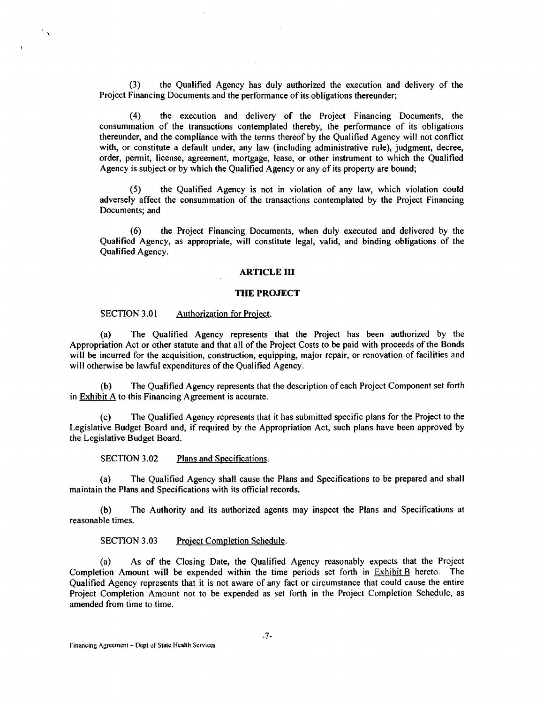(3) the Qualified Agency has duly authorized the execution and delivery of the Project Financing Documents and the performance of its obligations thereunder;

(4) the execution and delivery of the Project Financing Documents, the consummation of the transactions contemplated thereby, the performance of its obligations thereunder, and the compliance with the terms thereof by the Qualified Agency will not conflict with, or constitute a default under, any law (including administrative rule), judgment, decree, order, permit, license, agreement, mortgage, lease, or other instrument to which the Qualified Agency is subject or by which the Qualified Agency or any of its property are bound;

(S) the Qualified Agency is not in violation of any law, which violation could adversely affect the consummation of the transactions contemplated by the Project Financing Documents; and

(6) the Project Financing Documents, when duly executed and delivered by the Qualified Agency, as appropriate, will constitute legal, valid, and binding obligations of the Qualified Agency.

#### **ARTICLE Ill**

#### **THE PROJECT**

#### SECTION 3.01 Authorization for Project.

 $\gamma_{\chi}$ 

(a) The Qualified Agency represents that the Project has been authorized by the Appropriation Act or other statute and that all of the Project Costs to be paid with proceeds of the Bonds will be incurred for the acquisition, construction, equipping, major repair, or renovation of facilities and will otherwise be lawful expenditures of the Qualified Agency.

(b) The Qualified Agency represents that the description of each Project Component set forth in Exhibit A to this Financing Agreement is accurate.

(c) The Qualified Agency represents that it has submitted specific plans for the Project to the Legislative Budget Board and, if required by the Appropriation Act, such plans have been approved by the Legislative Budget Board.

SECTION 3.02 Plans and Specifications.

(a) The Qualified Agency shall cause the Plans and Specifications to be prepared and shall maintain the Plans and Specifications with its official records.

(b) The Authority and its authorized agents may inspect the Plans and Specifications at reasonable times.

SECTION 3.03 Project Completion Schedule.

(a) As of the Closing Date, the Qualified Agency reasonably expects that the Project Completion Amount will be expended within the time periods set forth in Exhibit B hereto. The Qualified Agency represents that it is not aware of any fact or circumstance that could cause the entire Project Completion Amount not to be expended as set forth in the Project Completion Schedule, as amended from time to time.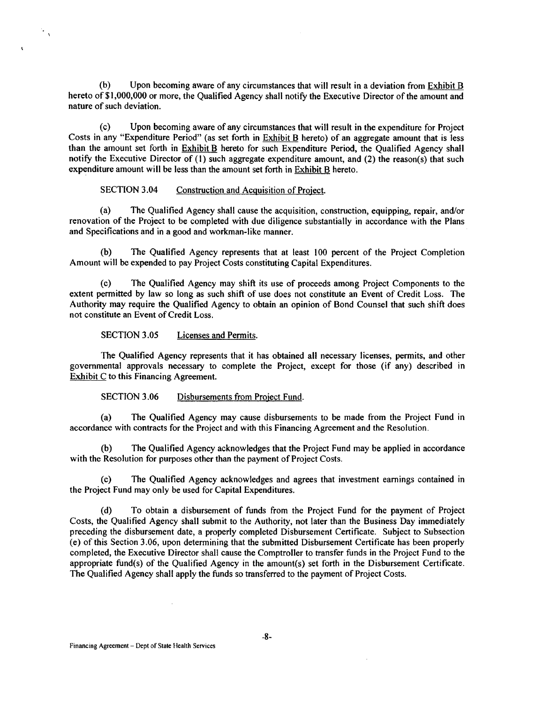(b) Upon becoming aware of any circumstances that will result in a deviation from Exhibit B hereto of \$1,000,000 or more, the Qualified Agency shall notify the Executive Director of the amount and nature of such deviation.

(c) Upon becoming aware of any circumstances that will result in the expenditure for Project Costs in any "Expenditure Period" (as set forth in **Exhibit B** hereto) of an aggregate amount that is less than the amount set forth in Exhibit B hereto for such Expenditure Period, the Qualified Agency shall notify the Executive Director of (I) such aggregate expenditure amount, and (2) the reason(s) that such expenditure amount will be less than the amount set forth in Exhibit B hereto.

### SECTION 3.04 Construction and Acquisition of Project.

(a) The Qualified Agency shall cause the acquisition, construction, equipping, repair, and/or renovation of the Project to be completed with due diligence substantially in accordance with the Plans and Specifications and in a good and workman-like manner.

(b) The Qualified Agency represents that at least 100 percent of the Project Completion Amount will be expended to pay Project Costs constituting Capital Expenditures.

(c) The Qualified Agency may shift its use of proceeds among Project Components to the extent permitted by law so long as such shift of use does not constitute an Event of Credit Loss. The Authority may require the Qualified Agency to obtain an opinion of Bond Counsel that such shift does not constitute an Event of Credit Loss.

SECTION 3.05 Licenses and Permits.

 $\mathcal{F}_{\mathcal{A}}$ 

 $\ddot{\phantom{a}}$ 

The Qualified Agency represents that it has obtained all necessary licenses, permits, and other governmental approvals necessary to complete the Project, except for those (if any) described in Exhibit C to this Financing Agreement.

SECTION 3.06 Disbursements from Project Fund.

(a) The Qualified Agency may cause disbursements to be made from the Project Fund in accordance with contracts for the Project and with this Financing Agreement and the Resolution.

The Qualified Agency acknowledges that the Project Fund may be applied in accordance with the Resolution for purposes other than the payment of Project Costs.

(c) The Qualified Agency acknowledges and agrees that investment earnings contained in the Project Fund may only be used for Capital Expenditures.

(d) To obtain a disbursement of funds from the Project Fund for the payment of Project Costs, the Qualified Agency shall submit to the Authority, not later than the Business Day immediately preceding the disbursement date, a properly completed Disbursement Certificate. Subject to Subsection (e) of this Section 3.06, upon determining that the submitted Disbursement Certificate has been properly completed, the Executive Director shall cause the Comptroller to transfer funds in the Project Fund to the appropriate fund(s) of the Qualified Agency in the amount(s) set forth in the Disbursement Certificate. The Qualified Agency shall apply the funds so transferred to the payment of Project Costs.

Financing Agreement- Dept of State Health Services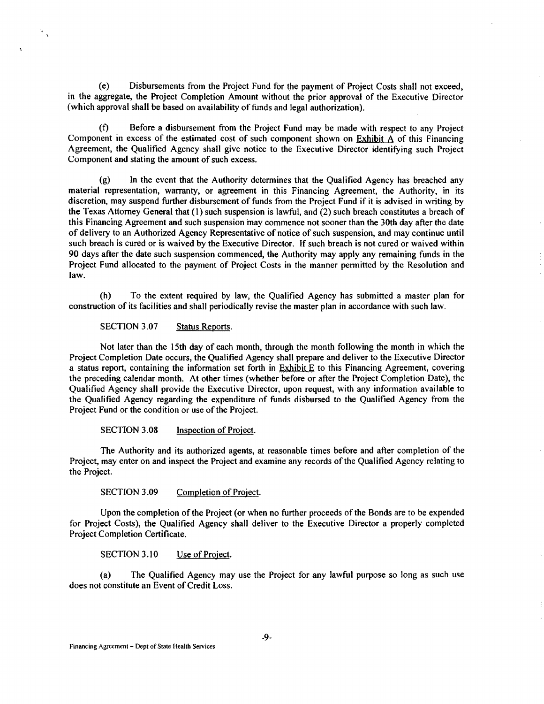(e) Disbursements from the Project Fund for the payment of Project Costs shall not exceed, in the aggregate, the Project Completion Amount without the prior approval of the Executive Director (which approval shall be based on availability of funds and legal authorization).

(f) Before a disbursement from the Project Fund may be made with respect to any Project Component in excess of the estimated cost of such component shown on  $Exhibit A$  of this Financing Agreement, the Qualified Agency shall give notice to the Executive Director identifying such Project Component and stating the amount of such excess.

(g) In the event that the Authority determines that the Qualified Agency has breached any material representation, warranty, or agreement in this Financing Agreement, the Authority, in its discretion, may suspend further disbursement of funds from the Project Fund if it is advised in writing by the Texas Attorney General that (1) such suspension is lawful, and (2) such breach constitutes a breach of this Financing Agreement and such suspension inay commence not sooner than the 30th day after the date of delivery to an Authorized Agency Representative of notice of such suspension, and may continue until such breach is cured or is waived by the Executive Director. If such breach is not cured or waived within 90 days after the date such suspension commenced, the Authority may apply any remaining funds in the Project Fund allocated to the payment of Project Costs in the manner permitted by the Resolution and law.

(h) To the extent required by law, the Qualified Agency has submitted a master plan for construction of its facilities and shall periodically revise the master plan in accordance with such law.

SECTION 3.07 Status Reports.

·,

Not later than the 15th day of each month, through the month following the month in which the Project Completion Date occurs, the Qualified Agency shall prepare and deliver to the Executive Director a status report, containing the information set forth in Exhibit E to this Financing Agreement, covering the preceding calendar month. At other times (whether before or after the Project Completion Date), the Qualified Agency shall provide the Executive Director, upon request, with any information available to the Qualified Agency regarding the expenditure of funds disbursed to the Qualified Agency from the Project Fund or the condition or use of the Project.

SECTION 3.08 Inspection of Project.

The Authority and its authorized agents, at reasonable times before and after completion of the Project, may enter on and inspect the Project and examine any records of the Qualified Agency relating to the Project.

SECTION 3.09 Completion of Project.

Upon the completion of the Project (or when no further proceeds ofthe Bonds are to be expended for Project Costs), the Qualified Agency shall deliver to the Executive Director a properly completed Project Completion Certificate.

SECTION 3.10 Use of Project.

(a) The Qualified Agency may use the Project for any lawful purpose so long as such use does not constitute an Event of Credit Loss.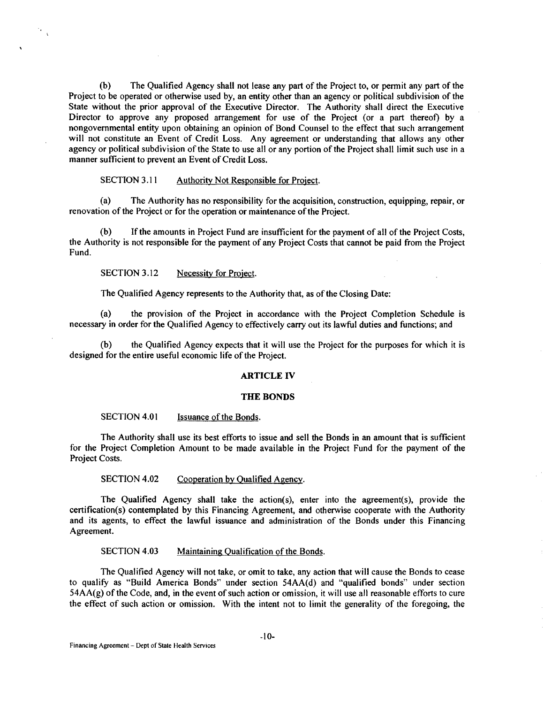(b) The Qualified Agency shall not lease any part of the Project to, or permit any part of the Project to be operated or otherwise used by, an entity other than an agency or political subdivision of the State without the prior approval of the Executive Director. The Authority shall direct the Executive Director to approve any proposed arrangement for use of the Project (or a part thereof) by a nongovernmental entity upon obtaining an opinion of Bond Counsel to the effect that such arrangement will not constitute an Event of Credit Loss. Any agreement or understanding that allows any other agency or political subdivision of the State to use all or any portion of the Project shall limit such use in a manner sufficient to prevent an Event of Credit Loss.

#### SECTION 3.11 Authority Not Responsible for Project.

(a) The Authority has no responsibility for the acquisition, construction, equipping, repair, or renovation of the Project or for the operation or maintenance of the Project.

(b) If the amounts in Project Fund are insufficient for the payment of all of the Project Costs, the Authority is not responsible for the payment of any Project Costs that cannot be paid from the Project Fund.

SECTION 3.12 Necessity for Project.

٠.  $\overline{1}$ 

The Qualified Agency represents to the Authority that, as of the Closing Date:

(a) the provision of the Project in accordance with the Project Completion Schedule is necessary in order for the Qualified Agency to effectively carry out its lawful duties and functions; and

(b) the Qualified Agency expects that it will use the Project for the purposes for which it is designed for the entire useful economic life of the Project.

#### ARTICLE IV

#### THE BONDS

#### SECTION 4.01 Issuance of the Bonds.

The Authority shall use its best efforts to issue and sell the Bonds in an amount that is sufficient for the Project Completion Amount to be made available in the Project Fund for the payment of the Project Costs.

#### SECTION 4.02 Cooperation by Qualified Agency.

The Qualified Agency shall take the action(s), enter into the agreement(s), provide the certification(s) contemplated by this Financing Agreement, and otherwise cooperate with the Authority and its agents, to effect the lawful issuance and administration of the Bonds under this Financing Agreement.

#### SECTION 4.03 Maintaining Qualification of the Bonds.

The Qualified Agency will not take, or omit to take, any action that will cause the Bonds to cease to qualify as "Build America Bonds" under section 54AA(d) and "qualified bonds" under section 54AA(g) of the Code, and, in the event of such action or omission, it will use all reasonable efforts to cure the effect of such action or omission. With the intent not to limit the generality of the foregoing, the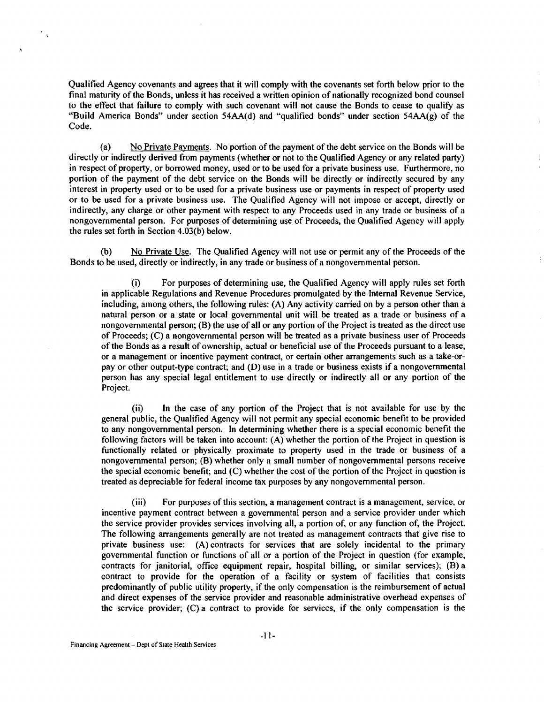Qualified Agency covenants and agrees that it will comply with the covenants set forth below prior to the final maturity of the Bonds, unless it has received a written opinion of nationally recognized bond counsel to the effect that failure to comply with such covenant will not cause the Bonds to cease to qualify as "Build America Bonds" under section 54AA(d) and "qualified bonds" under section 54AA(g) of the Code.

(a) No Private Payments. No portion of the payment of the debt service on the Bonds will be directly or indirectly derived from payments (whether or not to the Qualified Agency or any related party) in respect of property, or borrowed money, used or to be used for a private business use. Furthermore, no portion of the payment of the debt service on the Bonds will be directly or indirectly secured by any interest in property used or to be used for a private business use or payments in respect of property used or to be used for a private business use. The Qualified Agency will not impose or accept, directly or indirectly, any charge or other payment with respect to any Proceeds used in any trade or business of a nongovernmental person. For purposes of determining use of Proceeds, the Qualified Agency will apply the rules set forth in Section 4.03(b) below.

(b) No Private Use. The Qualified Agency will not use or permit any of the Proceeds of the Bonds to be used, directly or indirectly, in any trade or business of a nongovernmental person.

(i) For purposes of determining use, the Qualified Agency will apply rules set forth in applicable Regulations and Revenue Procedures promulgated by the Internal Revenue Service, including, among others, the following rules: (A) Any activity carried on by a person other than a natural person or a state or local governmental unit will be treated as a trade or business of a nongovernmental person;  $(B)$  the use of all or any portion of the Project is treated as the direct use of Proceeds; (C) a nongovernmental person will be treated as a private business user of Proceeds of the Bonds as a result of ownership, actual or beneficial use of the Proceeds pursuant to a lease, or a management or incentive payment contract, or certain other arrangements such as a take-orpay or other output-type contract; and (D) use in a trade or business exists if a nongovernmental person has any special legal entitlement to use directly or indirectly all or any portion of the Project.

(ii) In the case of any portion of the Project that is not available for use by the general public, the Qualified Agency will not permit any special economic benefit to be provided to any nongovernmental person. In determining whether there is a special economic benefit the following factors will be taken into account: (A) whether the portion of the Project in question is functionally related or physically proximate to property used in the trade or business of a nongovernmental person; (B) whether only a small number of nongovernmental persons receive the special economic benefit; and (C) whether the cost of the portion of the Project in question is treated as depreciable for federal income tax purposes by any nongovernmental person.

(iii) For purposes of this section, a management contract is a management, service, or incentive payment contract between a governmental person and a service provider under which the service provider provides services involving all, a portion of, or any function of, the Project. The following arrangements generally are not treated as management contracts that give rise to private business use: (A) contracts for services that are solely incidental to the primary governmental function or functions of all or a portion of the Project in question (for example, contracts for janitorial, office equipment repair, hospital billing, or similar services); (B) a contract to provide for the operation of a facility or system of facilities that consists predominantly of public utility property, if the only compensation is the reimbursement of actual and direct expenses of the service provider and reasonable administrative overhead expenses of the service provider; (C) a contract to provide for services, if the only compensation is the

 $\mathcal{C}_{\mathcal{A}}$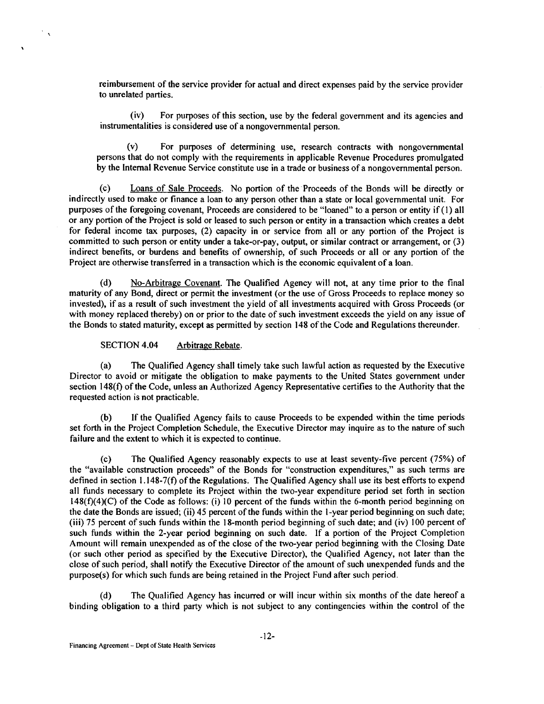reimbursement of the service provider for actual and direct expenses paid by the service provider to unrelated parties.

(iv) For purposes of this section, use by the federal government and its agencies and instrumentalities is considered use of a nongovernmental person.

(v) For purposes of determining use, research contracts with nongovernmental persons that do not comply with the requirements in applicable Revenue Procedures promulgated by the Internal Revenue Service constitute use in a trade or business of a nongovernmental person.

(c) Loans of Sale Proceeds. No portion of the Proceeds of the Bonds will be directly or indirectly used to make or finance a loan to any person other than a state or local governmental unit. For purposes of the foregoing covenant, Proceeds are considered to be "loaned" to a person or entity if (I) all or any portion of the Project is sold or leased to such person or entity in a transaction which creates a debt for federal income tax purposes, (2) capacity in or service from all or any portion of the Project is committed to such person or entity under a take-or-pay, output, or similar contract or arrangement, or (3) indirect benefits, or burdens and benefits of ownership, of such Proceeds or all or any portion of the Project are otherwise transferred in a transaction which is the economic equivalent of a loan.

(d) No-Arbitrage Covenant. The Qualified Agency will not, at any time prior to the final maturity of any Bond, direct or permit the investment (or the use of Gross Proceeds to replace money so invested), if as a result of such investment the yield of all investments acquired with Gross Proceeds (or with money replaced thereby) on or prior to the date of such investment exceeds the yield on any issue of the Bonds to stated maturity, except as permitted by section 148 of the Code and Regulations thereunder.

SECTION 4.04 Arbitrage Rebate.

 $\mathcal{A}$ 

(a) The Qualified Agency shall timely take such lawful action as requested by the Executive Director to avoid or mitigate the obligation to make payments to the United States government under section 148(f) of the Code, unless an Authorized Agency Representative certifies to the Authority that the requested action is not practicable.

(b) If the Qualified Agency fails to cause Proceeds to be expended within the time periods set forth in the Project Completion Schedule, the Executive Director may inquire as to the nature of such failure and the extent to which it is expected to continue.

(c) The Qualified Agency reasonably expects to use at least seventy-five percent (75%) of the "available construction proceeds" of the Bonds for "construction expenditures," as such terms are defined in section 1.148-7(f) of the Regulations. The Qualified Agency shall use its best efforts to expend all funds necessary to complete its Project within the two-year expenditure period set forth in section 148(f)(4)(C) of the Code as follows: (i) 10 percent of the funds within the 6-month period beginning on the date the Bonds are issued; (ii) 45 percent of the funds within the !-year period beginning on such date; (iii) 75 percent of such funds within the 18-month period beginning of such date; and (iv) I 00 percent of such funds within the 2-year period beginning on such date. If a portion of the Project Completion Amount will remain unexpended as of the close of the two-year period beginning with the Closing Date (or such other period as specified by the Executive Director), the Qualified Agency, not later than the close of such period, shall notify the Executive Director of the amount of such unexpended funds and the purpose(s) for which such funds are being retained in the Project Fund after such period.

The Qualified Agency has incurred or will incur within six months of the date hereof a binding obligation to a third party which is not subject to any contingencies within the control of the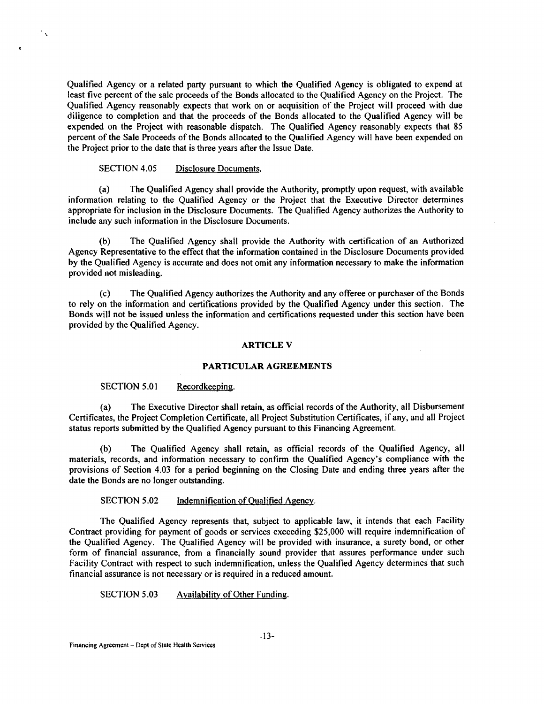Qualified Agency or a related party pursuant to which the Qualified Agency is obligated to expend at least five percent of the sale proceeds of the Bonds allocated to the Qualified Agency on the Project. The Qualified Agency reasonably expects that work on or acquisition of the Project will proceed with due diligence to completion and that the proceeds of the Bonds allocated to the Qualified Agency will be expended on the Project with reasonable dispatch. The Qualified Agency reasonably expects that 85 percent of the Sale Proceeds of the Bonds allocated to the Qualified Agency will have been expended on the Project prior to the date that is three years after the Issue Date.

## SECTION 4.05 Disclosure Documents.

 $\mathcal{L}_{\infty}$ 

(a) The Qualified Agency shall provide the Authority, promptly upon request, with available information relating to the Qualified Agency or the Project that the Executive Director determines appropriate for inclusion in the Disclosure Documents. The Qualified Agency authorizes the Authority to include any such information in the Disclosure Documents.

The Qualified Agency shall provide the Authority with certification of an Authorized Agency Representative to the effect that the information contained in the Disclosure Documents provided by the Qualified Agency is accurate and does not omit any information necessary to make the information provided not misleading.

(c) The Qualified Agency authorizes the Authority and any offeree or purchaser of the Bonds to rely on the information and certifications provided by the Qualified Agency under this section. The Bonds will not be issued unless the information and certifications requested under this section have been provided by the Qualified Agency.

#### ARTICLE V

#### PARTICULAR AGREEMENTS

### SECTION 5.01 Record keeping.

(a) The Executive Director shall retain, as official records of the Authority, all Disbursement Certificates, the Project Completion Certificate, all Project Substitution Certificates, if any, and all Project status reports submitted by the Qualified Agency pursuant to this Financing Agreement.

The Qualified Agency shall retain, as official records of the Qualified Agency, all materials, records, and information necessary to confirm the Qualified Agency's compliance with the provisions of Section 4.03 for a period beginning on the Closing Date and ending three years after the date the Bonds are no longer outstanding.

#### SECTION 5.02 Indemnification of Qualified Agency.

The Qualified Agency represents that, subject to applicable law, it intends that each Facility Contract providing for payment of goods or services exceeding \$25,000 will require indemnification of the Qualified Agency. The Qualified Agency will be provided with insurance, a surety bond, or other form of financial assurance, from a financially sound provider that assures performance under such Facility Contract with respect to such indemnification, unless the Qualified Agency determines that such financial assurance is not necessary or is required in a reduced amount.

SECTION 5.03 Availability of Other Funding.

Financing Agreement- Dept of State Health Services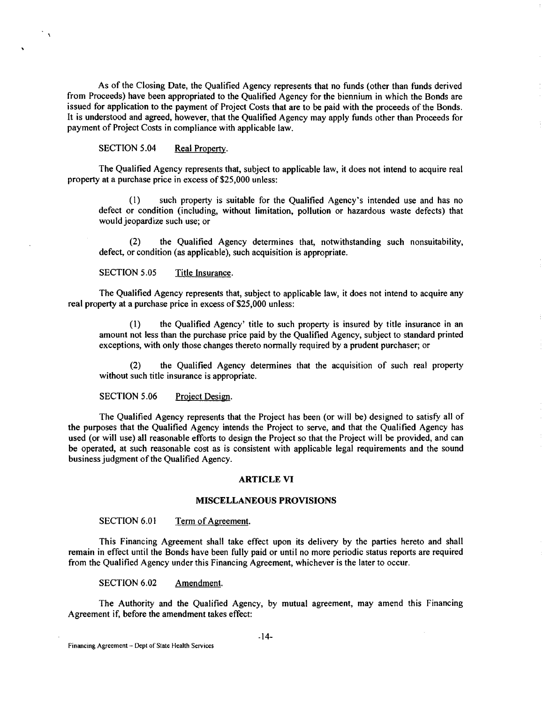As of the Closing Date, the Qualified Agency represents that no funds (other than funds derived from Proceeds) have been appropriated to the Qualified Agency for the biennium in which the Bonds are issued for application to the payment of Project Costs that are to be paid with the proceeds of the Bonds. It is understood and agreed, however, that the Qualified Agency may apply funds other than Proceeds for payment of Project Costs in compliance with applicable law.

## SECTION 5.04 Real Property.

 $\mathbb{Z}_{\Lambda}$ 

The Qualified Agency represents that, subject to applicable law, it does not intend to acquire real property at a purchase price in excess of \$25,000 unless:

(I) such property is suitable for the Qualified Agency's intended use and has no defect or condition (including, without limitation, pollution or hazardous waste defects) that would jeopardize such use; or

(2) the Qualified Agency determines that, notwithstanding such nonsuitability, defect, or condition (as applicable), such acquisition is appropriate.

#### SECTION 5.05 Title Insurance.

The Qualified Agency represents that, subject to applicable law, it does not intend to acquire any real property at a purchase price in excess of \$25,000 unless:

(1) the Qualified Agency' title to such property is insured by title insurance in an amount not less than the purchase price paid by the Qualified Agency, subject to standard printed exceptions, with only those changes thereto normally required by a prudent purchaser; or

(2) the Qualified Agency determines that the acquisition of such real property without such title insurance is appropriate.

### SECTION 5.06 Project Design.

The Qualified Agency represents that the Project has been (or will be) designed to satisfy all of the purposes that the Qualified Agency intends the Project to serve, and that the Qualified Agency has used (or will use) all reasonable efforts to design the Project so that the Project will be provided, and can be operated, at such reasonable cost as is consistent with applicable legal requirements and the sound business judgment of the Qualified Agency.

#### ARTICLE VI

#### MISCELLANEOUS PROVISIONS

#### SECTION 6.01 Term of Agreement.

This Financing Agreement shall take effect upon its delivery by the parties hereto and shall remain in effect until the Bonds have been fully paid or until no more periodic status reports are required from the Qualified Agency under this Financing Agreement, whichever is the later to occur.

SECTION 6.02 Amendment.

The Authority and the Qualified Agency, by mutual agreement, may amend this Financing Agreement if, before the amendment takes effect: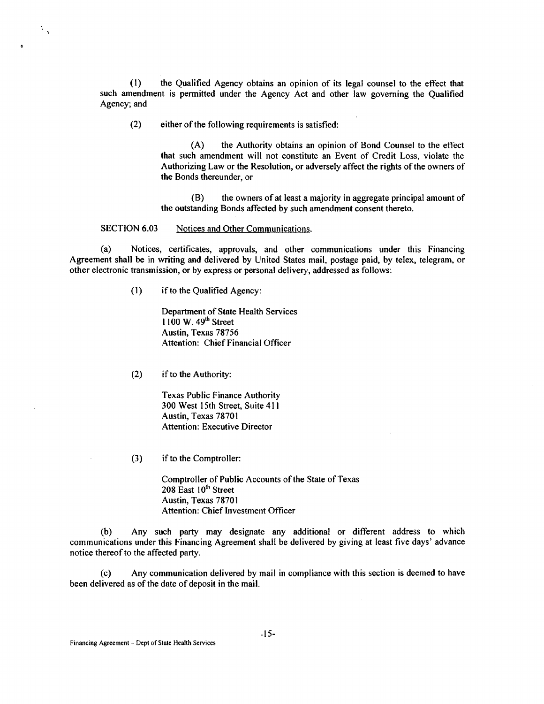(1) the Qualified Agency obtains an opinion of its legal counsel to the effect that such amendment is permitted under the Agency Act and other law governing the Qualified Agency; and

(2) either of the following requirements is satisfied:

(A) the Authority obtains an opinion of Bond Counsel to the effect that such amendment will not constitute an Event of Credit Loss, violate the Authorizing Law or the Resolution, or adversely affect the rights of the owners of the Bonds thereunder, or

(B) the owners of at least a majority in aggregate principal amount of the outstanding Bonds affected by such amendment consent thereto.

SECTION 6.03 Notices and Other Communications.

 $\mathbb{Z}_N$ 

(a) Notices, certificates, approvals, and other communications under this Financing Agreement shall be in writing and delivered by United States mail, postage paid, by telex, telegram, or other electronic transmission, or by express or personal delivery, addressed as follows:

(1) if to the Qualified Agency:

Department of State Health Services  $1100 \text{ W}$ . 49<sup>th</sup> Street Austin, Texas 78756 Attention: Chief Financial Officer

(2) if to the Authority:

Texas Public Finance Authority 300 West 15th Street, Suite 411 Austin, Texas 78701 Attention: Executive Director

(3) if to the Comptroller:

Comptroller of Public Accounts of the State of Texas 208 East 10<sup>th</sup> Street Austin, Texas 7870 I Attention: Chief Investment Officer

(b) Any such party may designate any additional or different address to which communications under this Financing Agreement shall be delivered by giving at least five days' advance notice thereof to the affected party.

(c) Any communication delivered by mail in compliance with this section is deemed to have been delivered as of the date of deposit in the mail.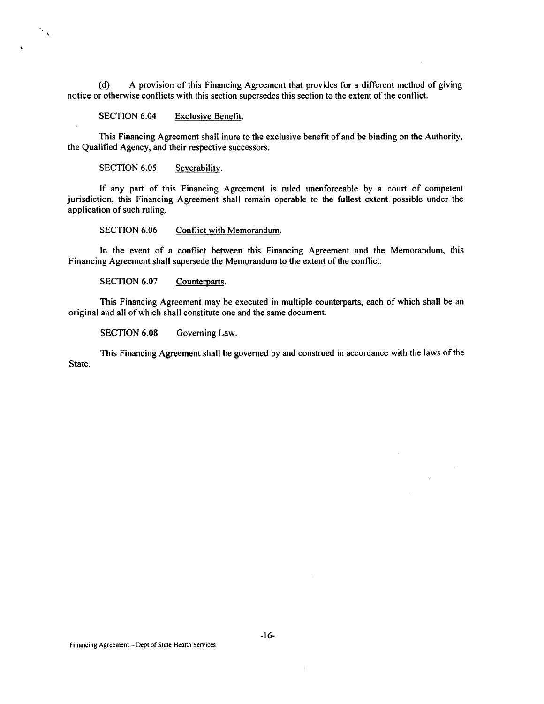(d) A provision of this Financing Agreement that provides for a different method of giving notice or otherwise conflicts with this section supersedes this section to the extent of the conflict.

SECTION 6.04 Exclusive Benefit.

This Financing Agreement shall inure to the exclusive benefit of and be binding on the Authority, the Qualified Agency, and their respective successors.

SECTION 6.05 Severability.

 $\frac{1}{2}$ 

If any part of this Financing Agreement is ruled unenforceable by a court of competent jurisdiction, this Financing Agreement shall remain operable to the fullest extent possible under the application of such ruling.

SECTION 6.06 Conflict with Memorandum.

In the event of a conflict between this Financing Agreement and the Memorandum, this Financing Agreement shall supersede the Memorandum to the extent of the conflict.

SECTION 6.07 Counterparts.

This Financing Agreement may be executed in multiple counterparts, each of which shall be an original and all of which shall constitute one and the same document.

SECTION 6.08 Governing Law.

This Financing Agreement shall be governed by and construed in accordance with the laws of the State.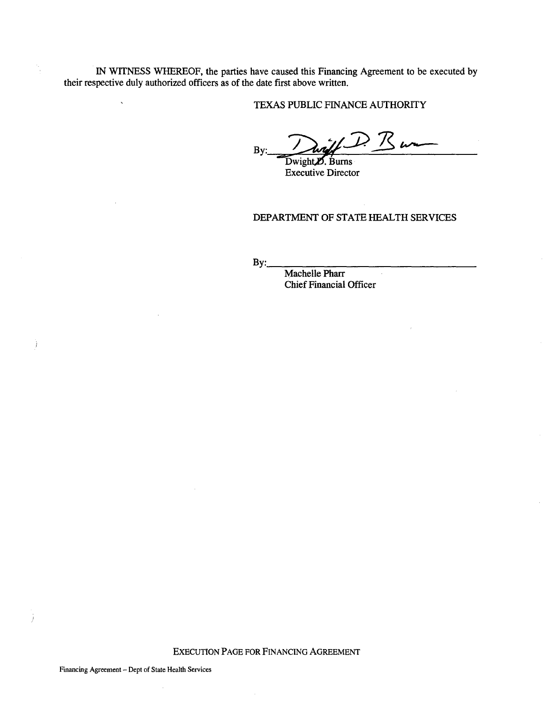IN WITNESS WHEREOF, the parties have caused this Financing Agreement to be executed by their respective duly authorized officers as of the date first above written.

TEXAS PUBLIC FINANCE AUTHORITY

By: Dwight D. Burn

Executive Director

DEPARTMENT OF STATE HEALTH SERVICES

 $\mathcal{L}$ 

 $By:$ 

Machelle Pharr Chief Financial Officer

EXECUTION PAGE FOR FINANCING AGREEMENT

Financing Agreement- Dept of State Health Services

 $\sim$ 

 $\ddot{\phantom{a}}$ 

Ť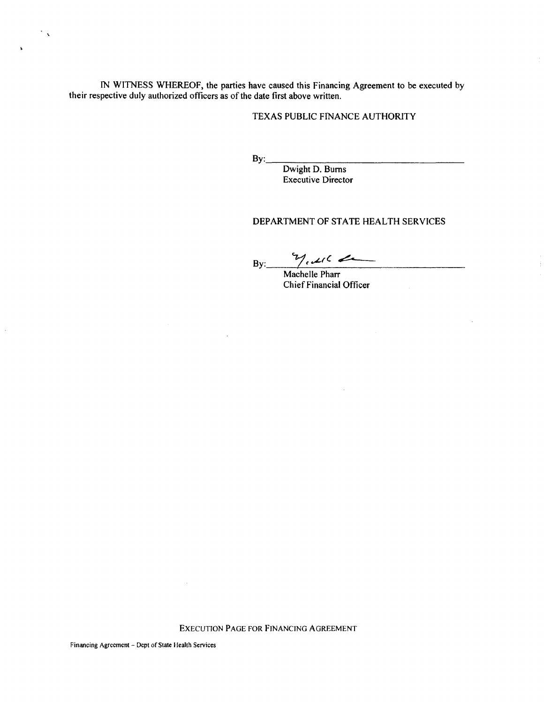IN WITNESS WHEREOF, the parties have caused this Financing Agreement to be executed by their respective duly authorized officers as of the date first above written.

## TEXAS PUBLIC FINANCE AUTHORITY

By: \_\_\_\_\_\_\_\_\_\_\_\_\_\_\_ \_

 $\bar{z}$ 

Dwight D. Bums Executive Director

## DEPARTMENT OF STATE HEALTH SERVICES

 $By:$  yester

Machelle Pharr Chief Financial Officer

EXECUTION PAGE FOR FINANCING AGREEMENT

 $\bar{z}$ 

 $\mathcal{F}_{\mathcal{A}}$ 

 $\mathbf{r}$ 

 $\bar{z}$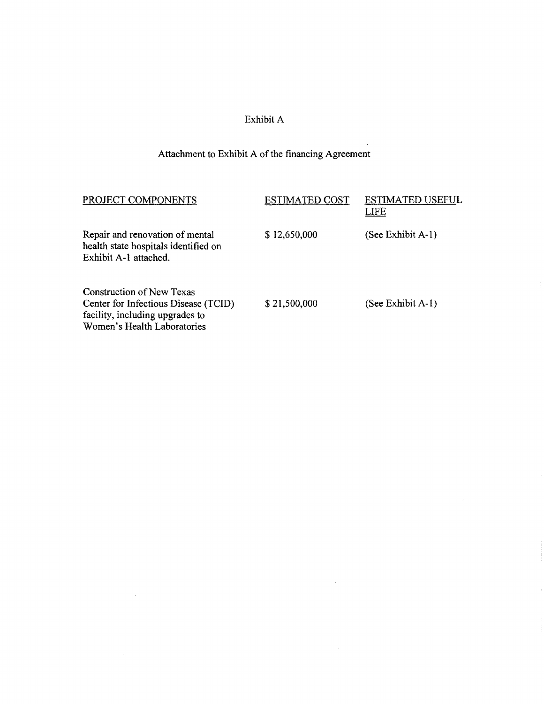# Exhibit A

# Attachment to Exhibit A of the financing Agreement

 $\sim$ 

 $\sim$ 

 $\sim$   $\omega$ 

 $\sim$ 

 $\bar{z}$ 

| PROJECT COMPONENTS                                                                                                                         | <b>ESTIMATED COST</b> | <b>ESTIMATED USEFUL</b><br>LIFE |
|--------------------------------------------------------------------------------------------------------------------------------------------|-----------------------|---------------------------------|
| Repair and renovation of mental<br>health state hospitals identified on<br>Exhibit A-1 attached.                                           | \$12,650,000          | (See Exhibit A-1)               |
| <b>Construction of New Texas</b><br>Center for Infectious Disease (TCID)<br>facility, including upgrades to<br>Women's Health Laboratories | \$21,500,000          | (See Exhibit A-1)               |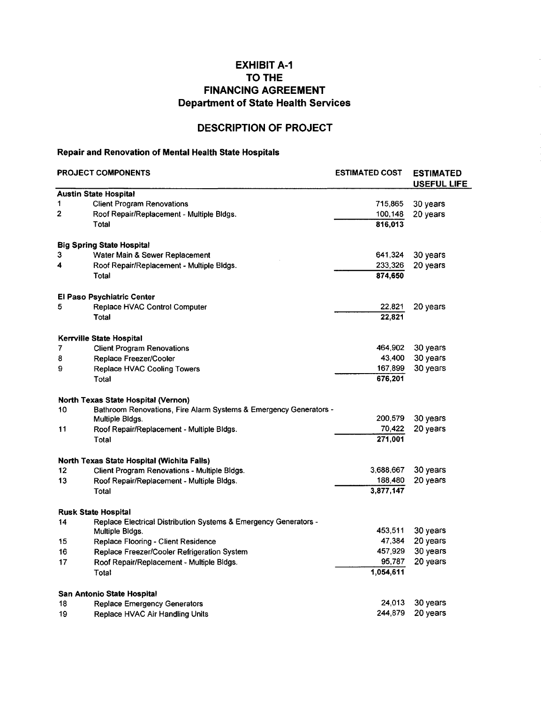# EXHIBIT A-1 TO THE FINANCING AGREEMENT Department of State Health Services

# DESCRIPTION OF PROJECT

# Repair and Renovation of Mental Health State Hospitals

| <b>PROJECT COMPONENTS</b> |                                                                   | <b>ESTIMATED COST</b> | <b>ESTIMATED</b><br><b>USEFUL LIFE</b> |  |
|---------------------------|-------------------------------------------------------------------|-----------------------|----------------------------------------|--|
|                           | <b>Austin State Hospital</b>                                      |                       |                                        |  |
| 1                         | <b>Client Program Renovations</b>                                 | 715,865               | 30 years                               |  |
| 2                         | Roof Repair/Replacement - Multiple Bldgs.                         | 100,148               | 20 years                               |  |
|                           | Total                                                             | 816,013               |                                        |  |
|                           | <b>Big Spring State Hospital</b>                                  |                       |                                        |  |
| 3                         | Water Main & Sewer Replacement                                    | 641,324               | 30 years                               |  |
| 4                         | Roof Repair/Replacement - Multiple Bidgs.                         | 233,326               | 20 years                               |  |
|                           | Total                                                             | 874,650               |                                        |  |
|                           | <b>El Paso Psychiatric Center</b>                                 |                       |                                        |  |
| 5                         | Replace HVAC Control Computer                                     | 22,821                | 20 years                               |  |
|                           | Total                                                             | 22,821                |                                        |  |
|                           | Kerrville State Hospital                                          |                       |                                        |  |
| 7                         | <b>Client Program Renovations</b>                                 | 464,902               | 30 years                               |  |
| 8                         | Replace Freezer/Cooler                                            | 43,400                | 30 years                               |  |
| 9                         | Replace HVAC Cooling Towers                                       | 167,899               | 30 years                               |  |
|                           | Total                                                             | 676,201               |                                        |  |
|                           | <b>North Texas State Hospital (Vernon)</b>                        |                       |                                        |  |
| 10                        | Bathroom Renovations, Fire Alarm Systems & Emergency Generators - |                       |                                        |  |
|                           | Multiple Bldgs.                                                   | 200,579               | 30 years                               |  |
| 11                        | Roof Repair/Replacement - Multiple Bldgs.                         | 70,422                | 20 years                               |  |
|                           | Total                                                             | 271,001               |                                        |  |
|                           | North Texas State Hospital (Wichita Falls)                        |                       |                                        |  |
| 12                        | Client Program Renovations - Multiple Bldgs.                      | 3,688,667             | 30 years                               |  |
| 13                        | Roof Repair/Replacement - Multiple Bldgs.                         | 188,480               | 20 years                               |  |
|                           | Total                                                             | 3,877,147             |                                        |  |
|                           | <b>Rusk State Hospital</b>                                        |                       |                                        |  |
| 14                        | Replace Electrical Distribution Systems & Emergency Generators -  |                       |                                        |  |
|                           | Multiple Bldgs.                                                   | 453,511               | 30 years                               |  |
| 15                        | Replace Flooring - Client Residence                               | 47,384                | 20 years                               |  |
| 16                        | Replace Freezer/Cooler Refrigeration System                       | 457,929               | 30 years                               |  |
| 17                        | Roof Repair/Replacement - Multiple Bldgs.                         | 95,787                | 20 years                               |  |
|                           | Total                                                             | 1,054,611             |                                        |  |
|                           | San Antonio State Hospital                                        |                       |                                        |  |
| 18                        | <b>Replace Emergency Generators</b>                               | 24,013                | 30 years                               |  |
| 19                        | Replace HVAC Air Handling Units                                   | 244,879               | 20 years                               |  |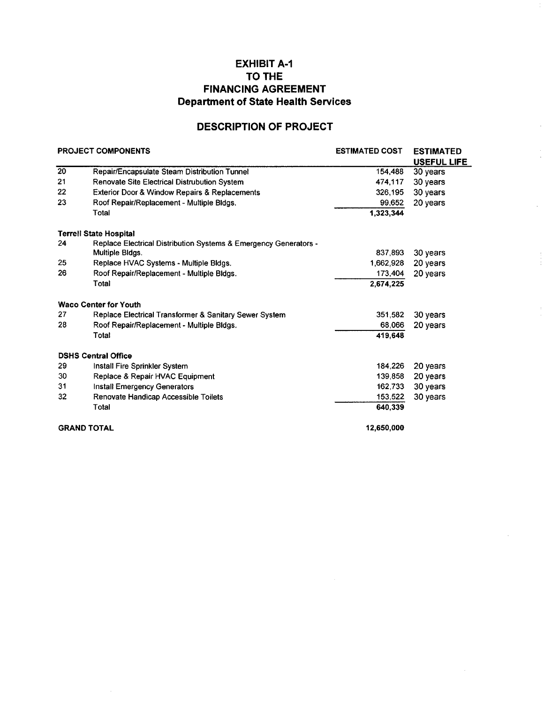# EXHIBIT A-1 TO THE FINANCING AGREEMENT Department of State Health Services

# DESCRIPTION OF PROJECT

 $\bar{z}$ 

| <b>PROJECT COMPONENTS</b> |                                                                  | <b>ESTIMATED COST</b> | <b>ESTIMATED</b> |
|---------------------------|------------------------------------------------------------------|-----------------------|------------------|
|                           |                                                                  |                       | USEFUL LIFE      |
| $\overline{20}$           | Repair/Encapsulate Steam Distribution Tunnel                     | 154,488               | 30 years         |
| 21                        | Renovate Site Electrical Distrubution System                     | 474,117               | 30 years         |
| 22                        | Exterior Door & Window Repairs & Replacements                    | 326,195               | 30 years         |
| 23                        | Roof Repair/Replacement - Multiple Bldgs.                        | 99,652                | 20 years         |
|                           | Total                                                            | 1,323,344             |                  |
|                           | <b>Terrell State Hospital</b>                                    |                       |                  |
| 24                        | Replace Electrical Distribution Systems & Emergency Generators - |                       |                  |
|                           | Multiple Bldgs.                                                  | 837,893               | 30 years         |
| 25                        | Replace HVAC Systems - Multiple Bldgs.                           | 1.662,928             | 20 years         |
| 26                        | Roof Repair/Replacement - Multiple Bldgs.                        | 173,404               | 20 years         |
|                           | Total                                                            | 2.674.225             |                  |
|                           | <b>Waco Center for Youth</b>                                     |                       |                  |
| 27                        | Replace Electrical Transformer & Sanitary Sewer System           | 351,582               | 30 years         |
| 28                        | Roof Repair/Replacement - Multiple Bldgs.                        | 68,066                | 20 years         |
|                           | Total                                                            | 419,648               |                  |
|                           | <b>DSHS Central Office</b>                                       |                       |                  |
| 29                        | Install Fire Sprinkler System                                    | 184,226               | 20 years         |
| 30                        | Replace & Repair HVAC Equipment                                  | 139.858               | 20 years         |
| 31                        | Install Emergency Generators                                     | 162.733               | 30 years         |
| 32                        | Renovate Handicap Accessible Toilets                             | 153,522               | 30 years         |
|                           | Total                                                            | 640.339               |                  |
|                           | <b>GRAND TOTAL</b>                                               | 12,650,000            |                  |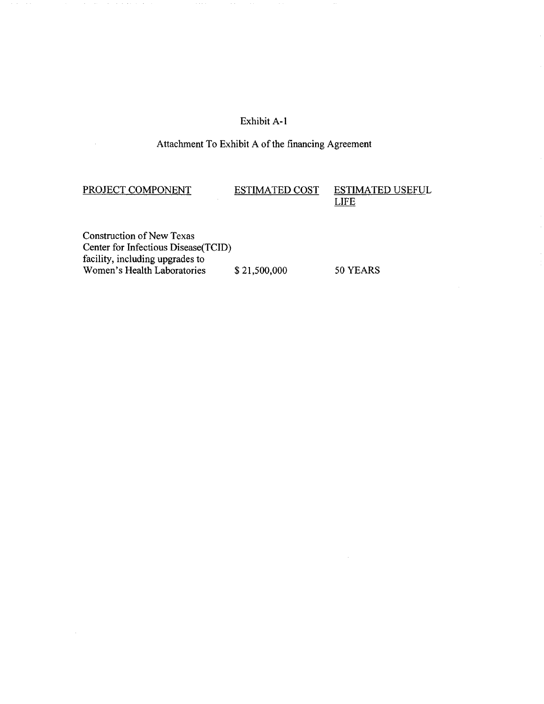# Exhibit A-1

# Attachment To Exhibit A of the financing Agreement

 $\hat{\boldsymbol{\theta}}$ 

 $\bar{z}$ 

PROJECT COMPONENT ESTIMATED COST ESTIMATED USEFUL LIFE

Construction of New Texas Center for Infectious Disease(TCID) facility, including upgrades to Women's Health Laboratories  $$ 21,500,000$  50 YEARS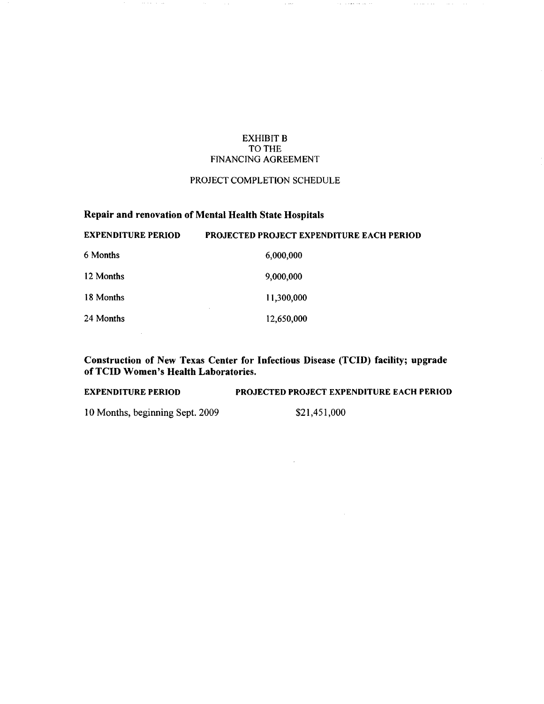## EXHIBIT B TO THE FINANCING AGREEMENT

 $\tau$  as

 $\beta$  is a state of the set

 $\alpha$  ,  $\beta$  and  $\alpha$  ,  $\alpha$ 

### PROJECT COMPLETION SCHEDULE

# Repair and renovation of Mental Health State Hospitals EXPENDITURE PERIOD PROJECTED PROJECT EXPENDITURE EACH PERIOD

 $\alpha\beta\rightarrow\alpha\gamma\gamma\gamma\gamma\gamma\gamma\gamma\gamma$ 

 $\sim 10^{-1}$ 

| eai enditure i eriod | I KOJEC I EV I KOJEC I EAI ENDITOKE EACH I EKROP |
|----------------------|--------------------------------------------------|
| 6 Months             | 6,000,000                                        |
| 12 Months            | 9,000,000                                        |
| 18 Months            | 11,300,000                                       |
| 24 Months            | 12,650,000                                       |

Construction of New Texas Center for Infectious Disease (TCID) facility; upgrade of TCID Women's Health Laboratories.

EXPENDITURE PERIOD PROJECTED PROJECT EXPENDITURE EACH PERIOD 10 Months, beginning Sept. 2009 \$21,451,000

 $\sim$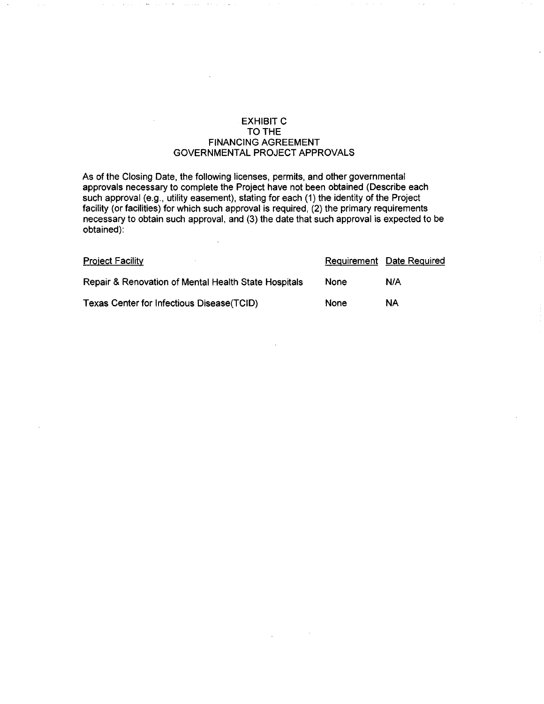## EXHIBIT C TO THE FINANCING AGREEMENT GOVERNMENTAL PROJECT APPROVALS

As of the Closing Date, the following licenses, permits, and other governmental approvals necessary to complete the Project have not been obtained (Describe each such approval (e.g., utility easement), stating for each (1) the identity of the Project facility (or facilities) for which such approval is required, (2) the primary requirements necessary to obtain such approval, and (3) the date that such approval is expected to be obtained):

| <b>Project Facility</b>                              |             | Requirement Date Required |
|------------------------------------------------------|-------------|---------------------------|
| Repair & Renovation of Mental Health State Hospitals | <b>None</b> | N/A                       |
| Texas Center for Infectious Disease (TCID)           | <b>None</b> | ΝA                        |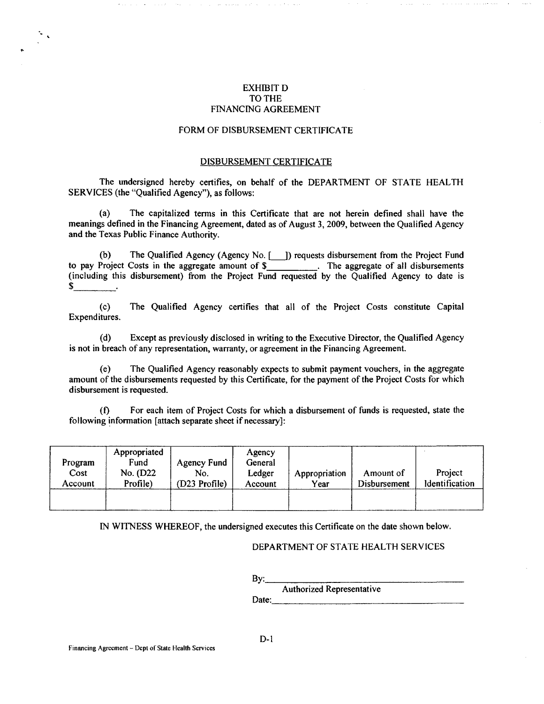## EXHIBIT D TO THE FINANCING AGREEMENT

#### FORM OF DISBURSEMENT CERTIFICATE

#### DISBURSEMENT CERTIFICATE

The undersigned hereby certifies, on behalf of the DEPARTMENT OF STATE HEALTH SERVICES (the "Qualified Agency"), as follows:

(a) The capitalized tenns in this Certificate that are not herein defined shall have the meanings defined in the Financing Agreement, dated as of August 3, 2009, between the Qualified Agency and the Texas Public Finance Authority.

(b) The Qualified Agency (Agency No.[\_]) requests disbursement from the Project Fund to pay Project Costs in the aggregate amount of \$\_\_\_\_\_\_\_\_\_\_. The aggregate of all disbursements (including this disbursement) from the Project Fund requested by the Qualified Agency to date is \$

(c) The Qualified Agency certifies that all of the Project Costs constitute Capital Expenditures.

(d) Except as previously disclosed in writing to the Executive Director, the Qualified Agency is not in breach of any representation, warranty, or agreement in the Financing Agreement

(e) The Qualified Agency reasonably expects to submit payment vouchers, in the aggregate amount of the disbursements requested by this Certificate, for the payment of the Project Costs for which disbursement is requested.

(f) For each item of Project Costs for which a disbursement of funds is requested, state the following information [attach separate sheet if necessary]:

| Program<br>Cost<br>Account | Appropriated<br>Fund<br>No. (D22<br>Profile) | Agency Fund<br>No.<br>(D23 Profile) | Agency<br>General<br>Ledger<br>Account | Appropriation<br>Year | Amount of<br>Disbursement | Project<br><b>Identification</b> |
|----------------------------|----------------------------------------------|-------------------------------------|----------------------------------------|-----------------------|---------------------------|----------------------------------|
|                            |                                              |                                     |                                        |                       |                           |                                  |

IN WITNESS WHEREOF, the undersigned executes this Certificate on the date shown below.

#### DEPARTMENT OF STATE HEALTH SERVICES

By: \_\_\_\_\_\_\_\_\_\_\_\_\_\_\_ \_ Authorized Representative Date: \_\_\_\_\_\_\_\_\_\_\_\_\_\_\_\_\_\_ \_

-.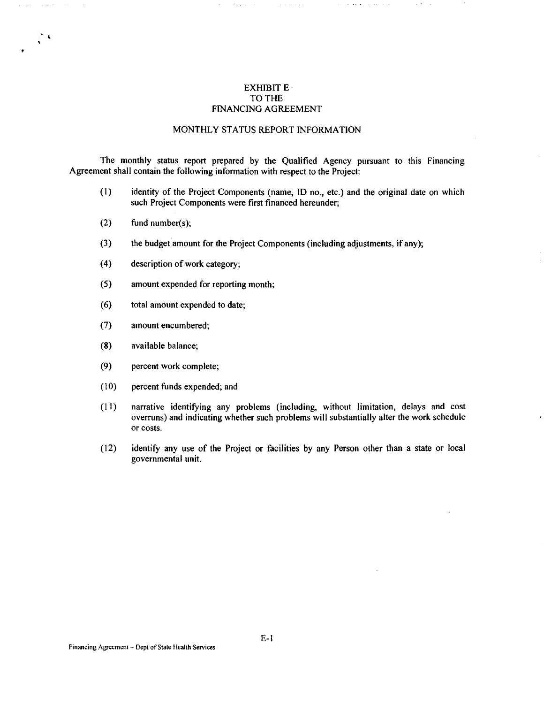### EXHIBIT E · TO THE FINANCING AGREEMENT

#### MONTHLY STATUS REPORT INFORMATION

The monthly status report prepared by the Qualified Agency pursuant to this Financing Agreement shall contain the following information with respect to the Project:

- (I) identity of the Project Components (name, ID no., etc.) and the original date on which such Project Components were first financed hereunder;
- (2) fund number(s);

 $\sim 100$ 

 $\frac{1}{2}$ 

- (3) the budget amount for the Project Components (including adjustments, if any);
- ( 4) description of work category;
- (5) amount expended for reporting month;
- ( 6) total amount expended to date;
- (7) amount encumbered;
- (8) available balance;
- (9) percent work complete;
- (10) percent funds expended; and
- (11) narrative identifying any problems (including, without limitation, delays and cost overruns) and indicating whether such problems will substantially alter the work schedule or costs.
- (12) identify any use of the Project or facilities by any Person other than a state or local governmental unit.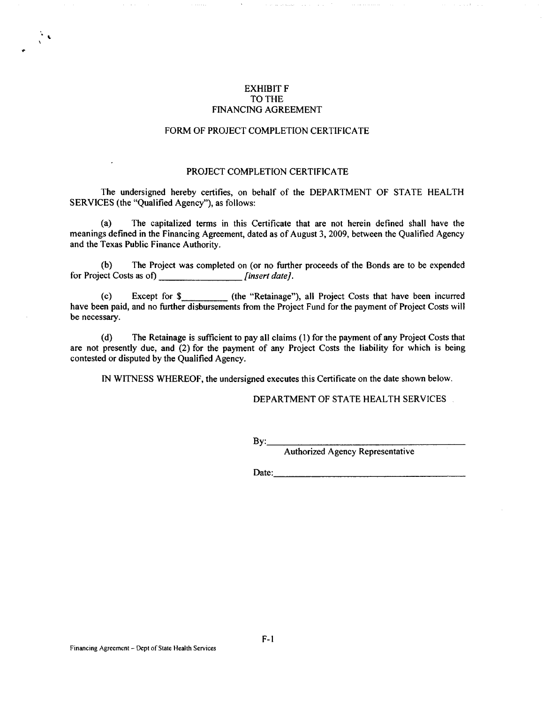### EXHIBIT F TO THE FINANCING AGREEMENT

### FORM OF PROJECT COMPLETION CERTIFICATE

#### PROJECT COMPLETION CERTIFICATE

The undersigned hereby certifies, on behalf of the DEPARTMENT OF STATE HEALTH SERVICES (the "Qualified Agency"), as follows:

(a) The capitalized terms in this Certificate that are not herein defined shall have the meanings defined in the Financing Agreement, dated as of August 3, 2009, between the Qualified Agency and the Texas Public Finance Authority.

(b) The Project was completed on (or no further proceeds of the Bonds are to be expended for Project Costs as of) *[insert date]*.

(c) Except for \$\_\_\_\_\_\_\_\_\_ (the "Retainage"), all Project Costs that have been incurred have been paid, and no further disbursements from the Project Fund for the payment of Project Costs will be necessary.

(d) The Retainage is sufficient to pay all claims ( 1) for the payment of any Project Costs that are not presently due, and (2) for the payment of any Project Costs the liability for which is being contested or disputed by the Qualified Agency.

IN WITNESS WHEREOF, the undersigned executes this Certificate on the date shown below.

#### DEPARTMENT OF STATE HEALTH SERVICES

By: \_\_\_\_\_\_\_\_\_\_\_\_\_\_\_ \_

Authorized Agency Representative

Date: \_\_\_\_\_\_\_\_\_\_\_\_\_\_\_\_\_ \_

 $\ddot{\phantom{0}}$